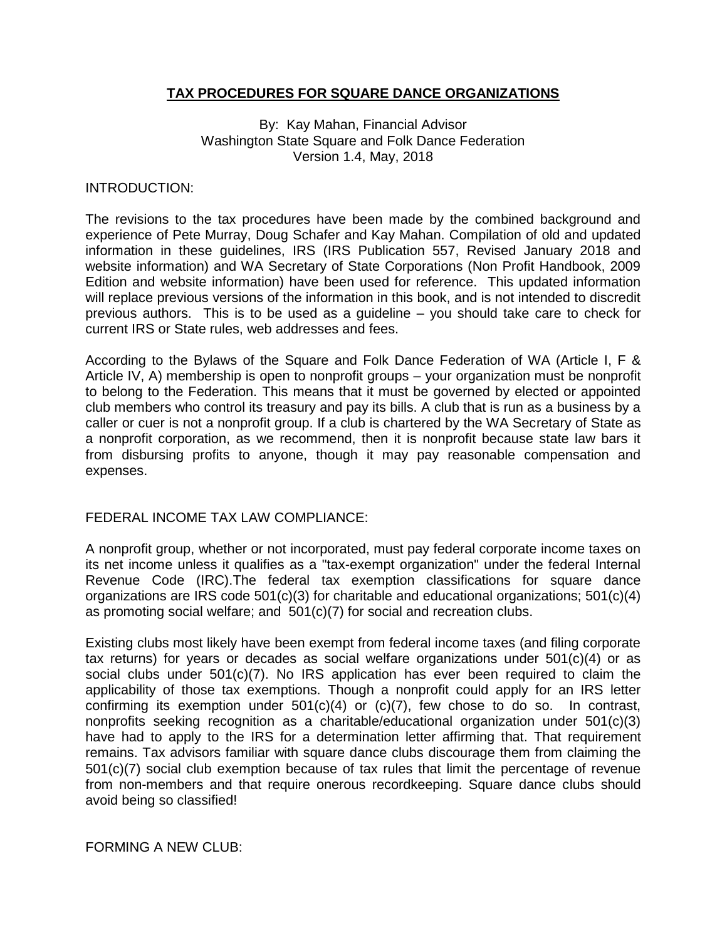## **TAX PROCEDURES FOR SQUARE DANCE ORGANIZATIONS**

By: Kay Mahan, Financial Advisor Washington State Square and Folk Dance Federation Version 1.4, May, 2018

#### INTRODUCTION:

The revisions to the tax procedures have been made by the combined background and experience of Pete Murray, Doug Schafer and Kay Mahan. Compilation of old and updated information in these guidelines, IRS (IRS Publication 557, Revised January 2018 and website information) and WA Secretary of State Corporations (Non Profit Handbook, 2009 Edition and website information) have been used for reference. This updated information will replace previous versions of the information in this book, and is not intended to discredit previous authors. This is to be used as a guideline – you should take care to check for current IRS or State rules, web addresses and fees.

According to the Bylaws of the Square and Folk Dance Federation of WA (Article I, F & Article IV, A) membership is open to nonprofit groups – your organization must be nonprofit to belong to the Federation. This means that it must be governed by elected or appointed club members who control its treasury and pay its bills. A club that is run as a business by a caller or cuer is not a nonprofit group. If a club is chartered by the WA Secretary of State as a nonprofit corporation, as we recommend, then it is nonprofit because state law bars it from disbursing profits to anyone, though it may pay reasonable compensation and expenses.

### FEDERAL INCOME TAX LAW COMPLIANCE:

A nonprofit group, whether or not incorporated, must pay federal corporate income taxes on its net income unless it qualifies as a "tax-exempt organization" under the federal Internal Revenue Code (IRC).The federal tax exemption classifications for square dance organizations are IRS code 501(c)(3) for charitable and educational organizations; 501(c)(4) as promoting social welfare; and 501(c)(7) for social and recreation clubs.

Existing clubs most likely have been exempt from federal income taxes (and filing corporate tax returns) for years or decades as social welfare organizations under 501(c)(4) or as social clubs under  $501(c)(7)$ . No IRS application has ever been required to claim the applicability of those tax exemptions. Though a nonprofit could apply for an IRS letter confirming its exemption under  $501(c)(4)$  or  $(c)(7)$ , few chose to do so. In contrast, nonprofits seeking recognition as a charitable/educational organization under 501(c)(3) have had to apply to the IRS for a determination letter affirming that. That requirement remains. Tax advisors familiar with square dance clubs discourage them from claiming the 501(c)(7) social club exemption because of tax rules that limit the percentage of revenue from non-members and that require onerous recordkeeping. Square dance clubs should avoid being so classified!

FORMING A NEW CLUB: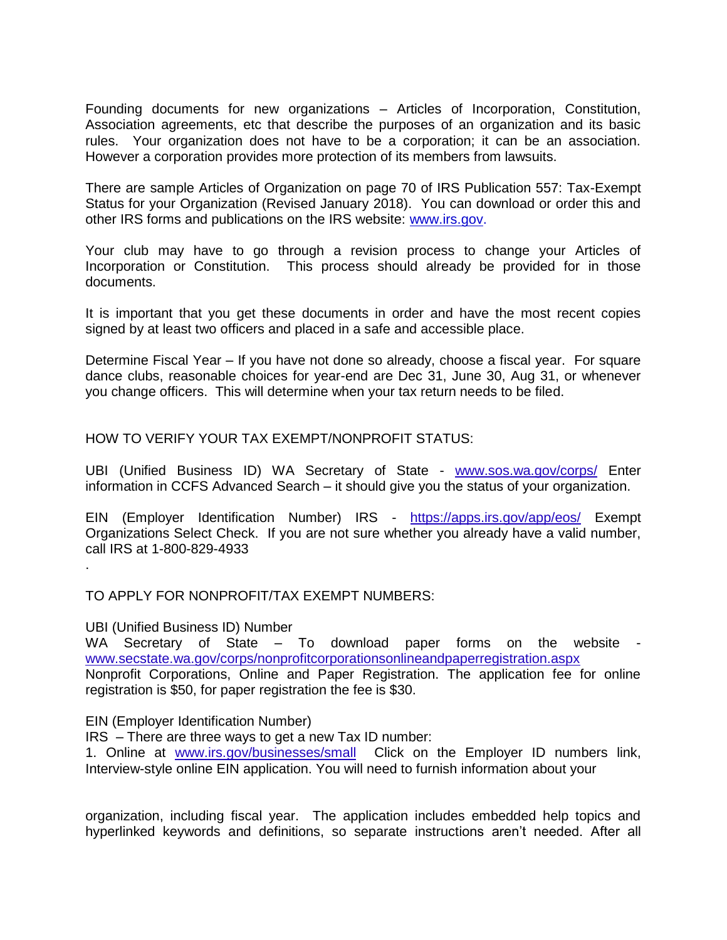Founding documents for new organizations – Articles of Incorporation, Constitution, Association agreements, etc that describe the purposes of an organization and its basic rules. Your organization does not have to be a corporation; it can be an association. However a corporation provides more protection of its members from lawsuits.

There are sample Articles of Organization on page 70 of IRS Publication 557: Tax-Exempt Status for your Organization (Revised January 2018). You can download or order this and other IRS forms and publications on the IRS website: [www.irs.gov.](http://www.irs.gov/)

Your club may have to go through a revision process to change your Articles of Incorporation or Constitution. This process should already be provided for in those documents.

It is important that you get these documents in order and have the most recent copies signed by at least two officers and placed in a safe and accessible place.

Determine Fiscal Year – If you have not done so already, choose a fiscal year. For square dance clubs, reasonable choices for year-end are Dec 31, June 30, Aug 31, or whenever you change officers. This will determine when your tax return needs to be filed.

HOW TO VERIFY YOUR TAX EXEMPT/NONPROFIT STATUS:

UBI (Unified Business ID) WA Secretary of State - [www.sos.wa.gov/corps/](http://www.sos.wa.gov/corps/) Enter information in CCFS Advanced Search – it should give you the status of your organization.

EIN (Employer Identification Number) IRS - <https://apps.irs.gov/app/eos/> Exempt Organizations Select Check. If you are not sure whether you already have a valid number, call IRS at 1-800-829-4933

TO APPLY FOR NONPROFIT/TAX EXEMPT NUMBERS:

UBI (Unified Business ID) Number

.

WA Secretary of State – To download paper forms on the website [www.secstate.wa.gov/corps/nonprofitcorporationsonlineandpaperregistration.aspx](http://www.secstate.wa.gov/corps/nonprofitcorporationsonlineandpaperregistration.aspx)  Nonprofit Corporations, Online and Paper Registration. The application fee for online

registration is \$50, for paper registration the fee is \$30.

EIN (Employer Identification Number)

IRS – There are three ways to get a new Tax ID number:

1. Online at [www.irs.gov/businesses/small](http://www.irs.gov/businesses/small) Click on the Employer ID numbers link, Interview-style online EIN application. You will need to furnish information about your

organization, including fiscal year. The application includes embedded help topics and hyperlinked keywords and definitions, so separate instructions aren't needed. After all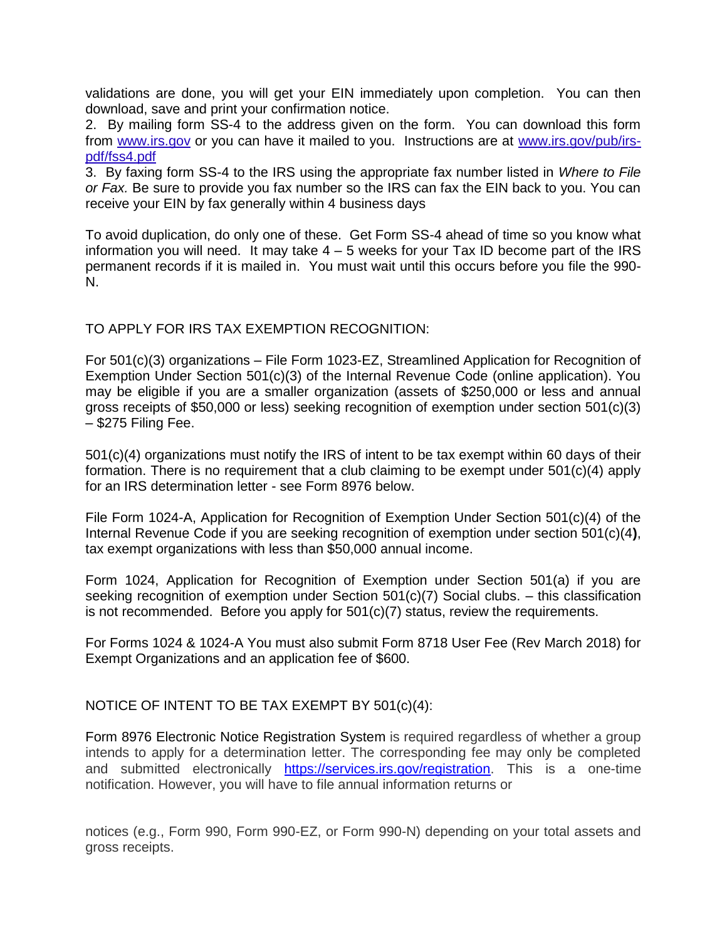validations are done, you will get your EIN immediately upon completion. You can then download, save and print your confirmation notice.

2. By mailing form SS-4 to the address given on the form. You can download this form from [www.irs.gov](http://www.irs.gov/) or you can have it mailed to you. Instructions are at [www.irs.gov/pub/irs](http://www.irs.gov/pub/irs-pdf/fss4.pdf)[pdf/fss4.pdf](http://www.irs.gov/pub/irs-pdf/fss4.pdf)

3. By faxing form SS-4 to the IRS using the appropriate fax number listed in *Where to File or Fax.* Be sure to provide you fax number so the IRS can fax the EIN back to you. You can receive your EIN by fax generally within 4 business days

To avoid duplication, do only one of these. Get Form SS-4 ahead of time so you know what information you will need. It may take  $4 - 5$  weeks for your Tax ID become part of the IRS permanent records if it is mailed in. You must wait until this occurs before you file the 990- N.

TO APPLY FOR IRS TAX EXEMPTION RECOGNITION:

For 501(c)(3) organizations – File Form 1023-EZ, Streamlined Application for Recognition of Exemption Under Section 501(c)(3) of the Internal Revenue Code (online application). You may be eligible if you are a smaller organization (assets of \$250,000 or less and annual gross receipts of \$50,000 or less) seeking recognition of exemption under section 501(c)(3) – \$275 Filing Fee.

501(c)(4) organizations must notify the IRS of intent to be tax exempt within 60 days of their formation. There is no requirement that a club claiming to be exempt under 501(c)(4) apply for an IRS determination letter - see Form 8976 below.

File Form 1024-A, Application for Recognition of Exemption Under Section 501(c)(4) of the Internal Revenue Code if you are seeking recognition of exemption under section 501(c)(4**)**, tax exempt organizations with less than \$50,000 annual income.

Form 1024, Application for Recognition of Exemption under Section 501(a) if you are seeking recognition of exemption under Section 501(c)(7) Social clubs. – this classification is not recommended. Before you apply for 501(c)(7) status, review the requirements.

For Forms 1024 & 1024-A You must also submit Form 8718 User Fee (Rev March 2018) for Exempt Organizations and an application fee of \$600.

NOTICE OF INTENT TO BE TAX EXEMPT BY 501(c)(4):

[Form 8976 Electronic Notice Registration System](https://services.irs.gov/registration/) is required regardless of whether a group intends to apply for a determination letter. The corresponding fee may only be completed and submitted electronically [https://services.irs.gov/registration.](https://services.irs.gov/registration) This is a one-time notification. However, you will have to file annual information returns or

notices (e.g., Form 990, Form 990-EZ, or Form 990-N) depending on your total assets and gross receipts.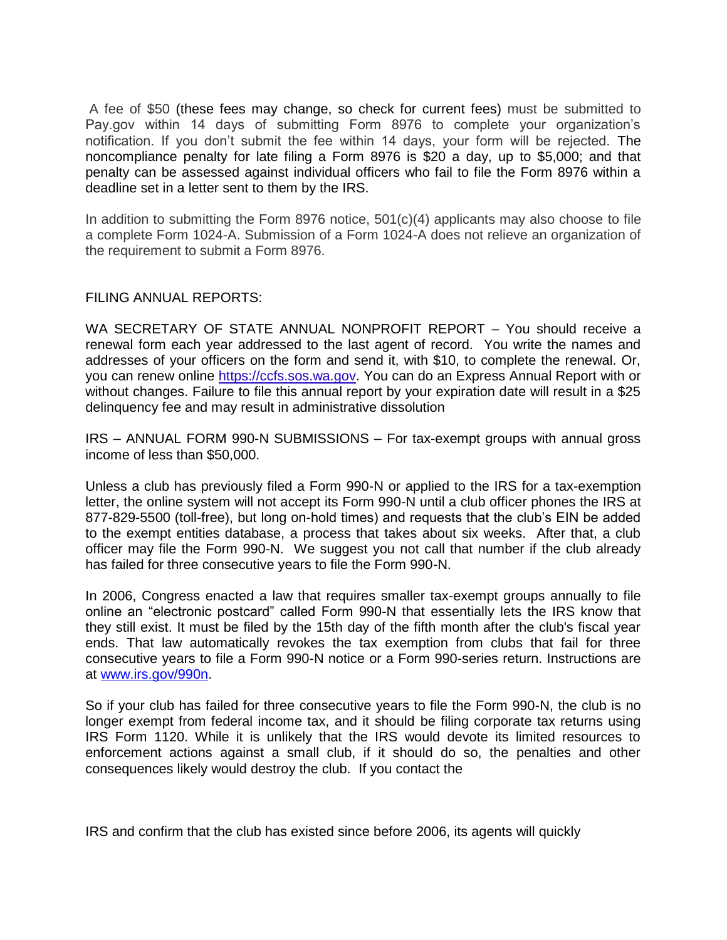A fee of \$50 (these fees may change, so check for current fees) must be submitted to Pay.gov within 14 days of submitting Form 8976 to complete your organization's notification. If you don't submit the fee within 14 days, your form will be rejected. The noncompliance penalty for late filing a Form 8976 is \$20 a day, up to \$5,000; and that penalty can be assessed against individual officers who fail to file the Form 8976 within a deadline set in a letter sent to them by the IRS.

In addition to submitting the Form 8976 notice,  $501(c)(4)$  applicants may also choose to file a complete Form 1024-A. Submission of a Form 1024-A does not relieve an organization of the requirement to submit a Form 8976.

## FILING ANNUAL REPORTS:

WA SECRETARY OF STATE ANNUAL NONPROFIT REPORT – You should receive a renewal form each year addressed to the last agent of record. You write the names and addresses of your officers on the form and send it, with \$10, to complete the renewal. Or, you can renew online https://ccfs.sos.wa.gov. You can do an Express Annual Report with or without changes. Failure to file this annual report by your expiration date will result in a \$25 delinquency fee and may result in administrative dissolution

IRS – ANNUAL FORM 990-N SUBMISSIONS – For tax-exempt groups with annual gross income of less than \$50,000.

Unless a club has previously filed a Form 990-N or applied to the IRS for a tax-exemption letter, the online system will not accept its Form 990-N until a club officer phones the IRS at 877-829-5500 (toll-free), but long on-hold times) and requests that the club's EIN be added to the exempt entities database, a process that takes about six weeks. After that, a club officer may file the Form 990-N. We suggest you not call that number if the club already has failed for three consecutive years to file the Form 990-N.

In 2006, Congress enacted a law that requires smaller tax-exempt groups annually to file online an "electronic postcard" called Form 990-N that essentially lets the IRS know that they still exist. It must be filed by the 15th day of the fifth month after the club's fiscal year ends. That law automatically revokes the tax exemption from clubs that fail for three consecutive years to file a Form 990-N notice or a Form 990-series return. Instructions are at [www.irs.gov/990n.](https://www.irs.gov/990n)

So if your club has failed for three consecutive years to file the Form 990-N, the club is no longer exempt from federal income tax, and it should be filing corporate tax returns using IRS Form 1120. While it is unlikely that the IRS would devote its limited resources to enforcement actions against a small club, if it should do so, the penalties and other consequences likely would destroy the club. If you contact the

IRS and confirm that the club has existed since before 2006, its agents will quickly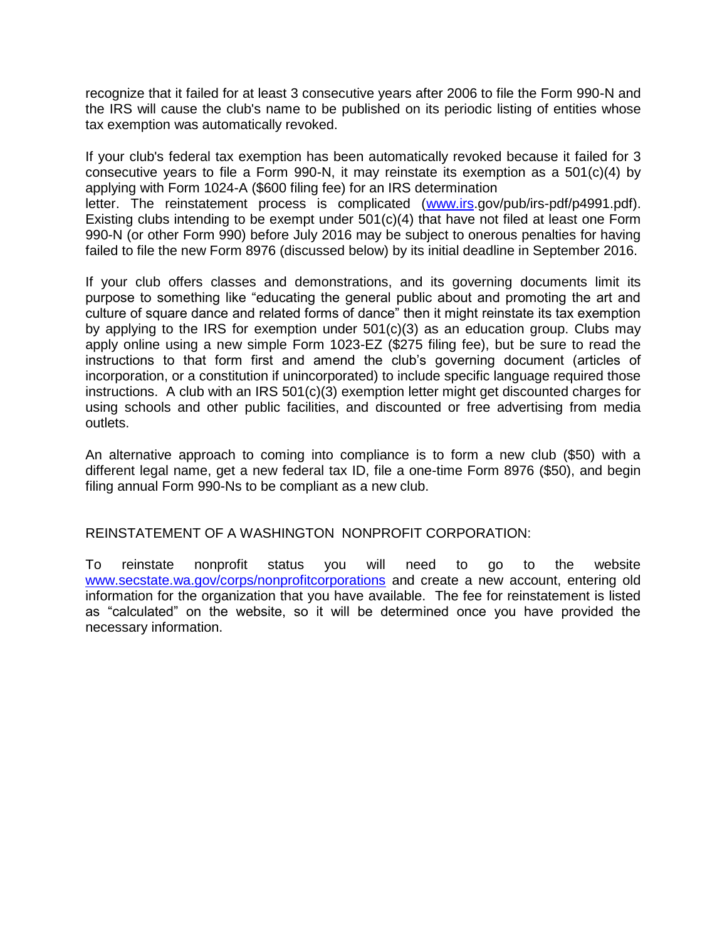recognize that it failed for at least 3 consecutive years after 2006 to file the Form 990-N and the IRS will cause the club's name to be published on its periodic listing of entities whose tax exemption was automatically revoked.

If your club's federal tax exemption has been automatically revoked because it failed for 3 consecutive years to file a Form 990-N, it may reinstate its exemption as a 501(c)(4) by applying with Form 1024-A (\$600 filing fee) for an IRS determination letter. The reinstatement process is complicated [\(www.irs.](http://www.irs/)gov/pub/irs-pdf/p4991.pdf). Existing clubs intending to be exempt under 501(c)(4) that have not filed at least one Form 990-N (or other Form 990) before July 2016 may be subject to onerous penalties for having failed to file the new Form 8976 (discussed below) by its initial deadline in September 2016.

If your club offers classes and demonstrations, and its governing documents limit its purpose to something like "educating the general public about and promoting the art and culture of square dance and related forms of dance" then it might reinstate its tax exemption by applying to the IRS for exemption under 501(c)(3) as an education group. Clubs may apply online using a new simple Form 1023-EZ (\$275 filing fee), but be sure to read the instructions to that form first and amend the club's governing document (articles of incorporation, or a constitution if unincorporated) to include specific language required those instructions. A club with an IRS 501(c)(3) exemption letter might get discounted charges for using schools and other public facilities, and discounted or free advertising from media outlets.

An alternative approach to coming into compliance is to form a new club (\$50) with a different legal name, get a new federal tax ID, file a one-time Form 8976 (\$50), and begin filing annual Form 990-Ns to be compliant as a new club.

# REINSTATEMENT OF A WASHINGTON NONPROFIT CORPORATION:

To reinstate nonprofit status you will need to go to the website [www.secstate.wa.gov/corps/nonprofitcorporations](http://www.secstate.wa.gov/corps/nonprofitcorporations) and create a new account, entering old information for the organization that you have available. The fee for reinstatement is listed as "calculated" on the website, so it will be determined once you have provided the necessary information.